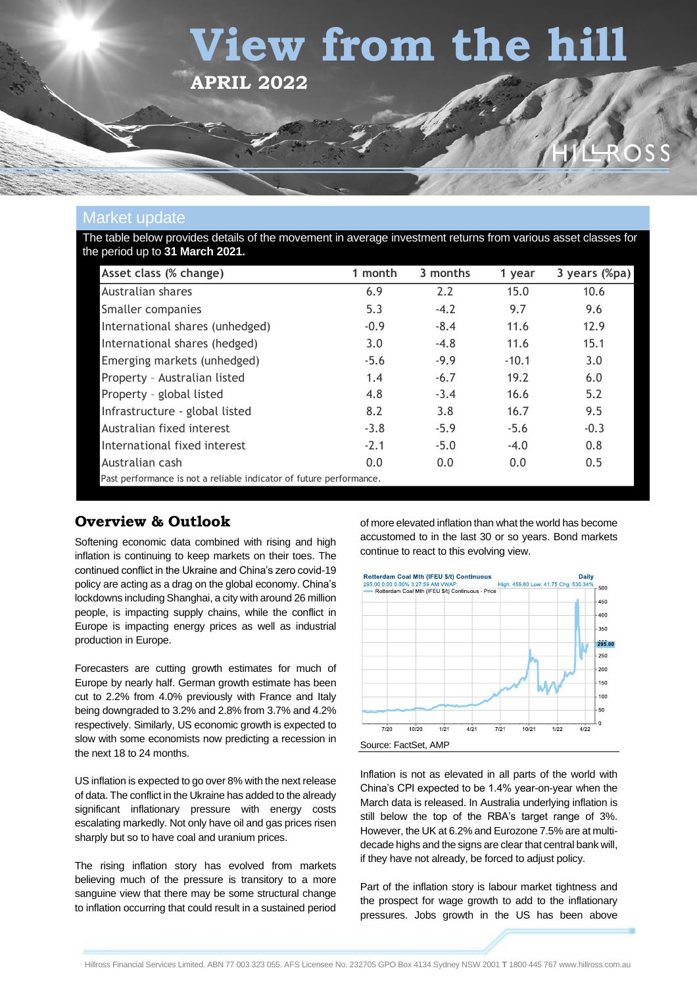# **View from the hill**

**APRIL 2022**

# R O

## Market update

The table below provides details of the movement in average investment returns from various asset classes for the period up to **31 March 2021.**

| Asset class (% change)                                              | 1 month | 3 months | 1 year  | 3 years (%pa) |
|---------------------------------------------------------------------|---------|----------|---------|---------------|
| Australian shares                                                   | 6.9     | 2.2      | 15.0    | 10.6          |
| Smaller companies                                                   | 5.3     | $-4.2$   | 9.7     | 9.6           |
| International shares (unhedged)                                     | $-0.9$  | $-8.4$   | 11.6    | 12.9          |
| International shares (hedged)                                       | 3.0     | $-4.8$   | 11.6    | 15.1          |
| Emerging markets (unhedged)                                         | $-5.6$  | $-9.9$   | $-10.1$ | 3.0           |
| Property - Australian listed                                        | 1.4     | $-6.7$   | 19.2    | 6.0           |
| Property - global listed                                            | 4.8     | $-3.4$   | 16.6    | 5.2           |
| Infrastructure - global listed                                      | 8.2     | 3.8      | 16.7    | 9.5           |
| Australian fixed interest                                           | $-3.8$  | $-5.9$   | $-5.6$  | $-0.3$        |
| International fixed interest                                        | $-2.1$  | $-5.0$   | $-4.0$  | 0.8           |
| Australian cash                                                     | 0.0     | 0.0      | 0.0     | 0.5           |
| Past performance is not a reliable indicator of future performance. |         |          |         |               |

# **Overview & Outlook**

Softening economic data combined with rising and high inflation is continuing to keep markets on their toes. The continued conflict in the Ukraine and China's zero covid-19 policy are acting as a drag on the global economy. China's lockdowns including Shanghai, a city with around 26 million people, is impacting supply chains, while the conflict in Europe is impacting energy prices as well as industrial production in Europe.

Forecasters are cutting growth estimates for much of Europe by nearly half. German growth estimate has been cut to 2.2% from 4.0% previously with France and Italy being downgraded to 3.2% and 2.8% from 3.7% and 4.2% respectively. Similarly, US economic growth is expected to slow with some economists now predicting a recession in the next 18 to 24 months.

US inflation is expected to go over 8% with the next release of data. The conflict in the Ukraine has added to the already significant inflationary pressure with energy costs escalating markedly. Not only have oil and gas prices risen sharply but so to have coal and uranium prices.

The rising inflation story has evolved from markets believing much of the pressure is transitory to a more sanguine view that there may be some structural change to inflation occurring that could result in a sustained period

of more elevated inflation than what the world has become accustomed to in the last 30 or so years. Bond markets continue to react to this evolving view.



Inflation is not as elevated in all parts of the world with China's CPI expected to be 1.4% year-on-year when the March data is released. In Australia underlying inflation is still below the top of the RBA's target range of 3%. However, the UK at 6.2% and Eurozone 7.5% are at multidecade highs and the signs are clear that central bank will, if they have not already, be forced to adjust policy.

Part of the inflation story is labour market tightness and the prospect for wage growth to add to the inflationary pressures. Jobs growth in the US has been above